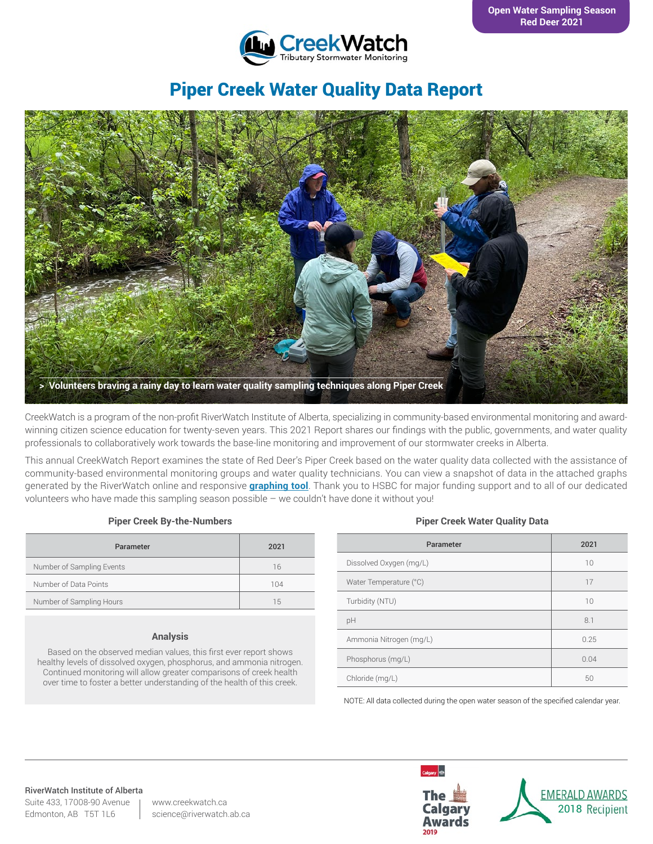

# Piper Creek Water Quality Data Report



CreekWatch is a program of the non-profit RiverWatch Institute of Alberta, specializing in community-based environmental monitoring and awardwinning citizen science education for twenty-seven years. This 2021 Report shares our findings with the public, governments, and water quality professionals to collaboratively work towards the base-line monitoring and improvement of our stormwater creeks in Alberta.

This annual CreekWatch Report examines the state of Red Deer's Piper Creek based on the water quality data collected with the assistance of community-based environmental monitoring groups and water quality technicians. You can view a snapshot of data in the attached graphs generated by the RiverWatch online and responsive **[graphing tool](http://www.riverwatch.ab.ca/index.php/science/data)**. Thank you to HSBC for major funding support and to all of our dedicated volunteers who have made this sampling season possible – we couldn't have done it without you!

### **Piper Creek By-the-Numbers**

| Parameter                 | 2021 |
|---------------------------|------|
| Number of Sampling Events | 16   |
| Number of Data Points     | 104  |
| Number of Sampling Hours  | 1.5  |

#### **Analysis**

Based on the observed median values, this first ever report shows healthy levels of dissolved oxygen, phosphorus, and ammonia nitrogen. Continued monitoring will allow greater comparisons of creek health over time to foster a better understanding of the health of this creek.

#### **Piper Creek Water Quality Data**

| Parameter               | 2021 |
|-------------------------|------|
| Dissolved Oxygen (mg/L) | 10   |
| Water Temperature (°C)  | 17   |
| Turbidity (NTU)         | 10   |
| pH                      | 8.1  |
| Ammonia Nitrogen (mg/L) | 0.25 |
| Phosphorus (mg/L)       | 0.04 |
| Chloride (mg/L)         | 50   |

NOTE: All data collected during the open water season of the specified calendar year.

#### RiverWatch Institute of Alberta

Suite 433, 17008-90 Avenue Edmonton, AB T5T 1L6

www.creekwatch.ca science@riverwatch.ab.ca